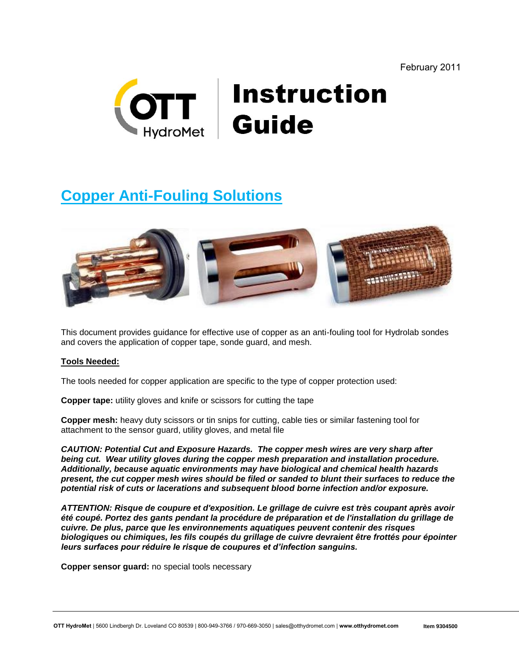

# **Instruction<br>Guide**

# **Copper Anti-Fouling Solutions**



This document provides guidance for effective use of copper as an anti-fouling tool for Hydrolab sondes and covers the application of copper tape, sonde guard, and mesh.

# **Tools Needed:**

The tools needed for copper application are specific to the type of copper protection used:

**Copper tape:** utility gloves and knife or scissors for cutting the tape

**Copper mesh:** heavy duty scissors or tin snips for cutting, cable ties or similar fastening tool for attachment to the sensor guard, utility gloves, and metal file

*CAUTION: Potential Cut and Exposure Hazards. The copper mesh wires are very sharp after being cut. Wear utility gloves during the copper mesh preparation and installation procedure. Additionally, because aquatic environments may have biological and chemical health hazards present, the cut copper mesh wires should be filed or sanded to blunt their surfaces to reduce the potential risk of cuts or lacerations and subsequent blood borne infection and/or exposure.*

*ATTENTION: Risque de coupure et d'exposition. Le grillage de cuivre est très coupant après avoir été coupé. Portez des gants pendant la procédure de préparation et de l'installation du grillage de cuivre. De plus, parce que les environnements aquatiques peuvent contenir des risques biologiques ou chimiques, les fils coupés du grillage de cuivre devraient être frottés pour épointer leurs surfaces pour réduire le risque de coupures et d'infection sanguins.*

**Copper sensor guard:** no special tools necessary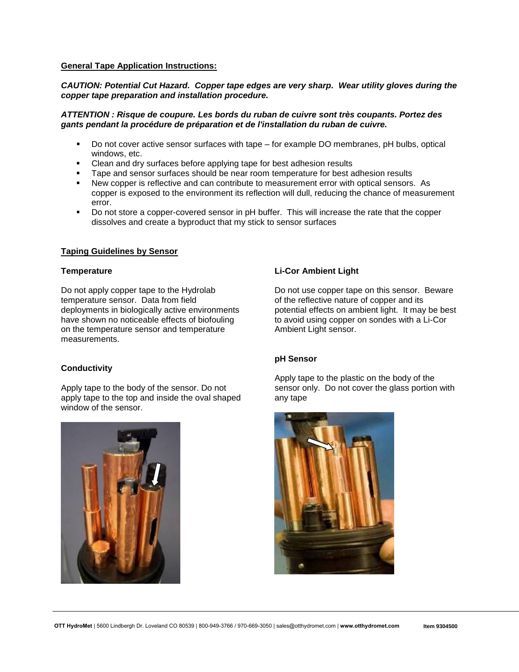#### **General Tape Application Instructions:**

#### *CAUTION: Potential Cut Hazard. Copper tape edges are very sharp. Wear utility gloves during the copper tape preparation and installation procedure.*

#### *ATTENTION : Risque de coupure. Les bords du ruban de cuivre sont très coupants. Portez des gants pendant la procédure de préparation et de l'installation du ruban de cuivre.*

- Do not cover active sensor surfaces with tape for example DO membranes, pH bulbs, optical windows, etc.
- Clean and dry surfaces before applying tape for best adhesion results
- Tape and sensor surfaces should be near room temperature for best adhesion results
- New copper is reflective and can contribute to measurement error with optical sensors. As copper is exposed to the environment its reflection will dull, reducing the chance of measurement error.
- Do not store a copper-covered sensor in pH buffer. This will increase the rate that the copper dissolves and create a byproduct that my stick to sensor surfaces

# **Taping Guidelines by Sensor**

#### **Temperature**

Do not apply copper tape to the Hydrolab temperature sensor. Data from field deployments in biologically active environments have shown no noticeable effects of biofouling on the temperature sensor and temperature measurements.

#### **Conductivity**

Apply tape to the body of the sensor. Do not apply tape to the top and inside the oval shaped window of the sensor.



# **Li-Cor Ambient Light**

Do not use copper tape on this sensor. Beware of the reflective nature of copper and its potential effects on ambient light. It may be best to avoid using copper on sondes with a Li-Cor Ambient Light sensor.

#### **pH Sensor**

Apply tape to the plastic on the body of the sensor only. Do not cover the glass portion with any tape

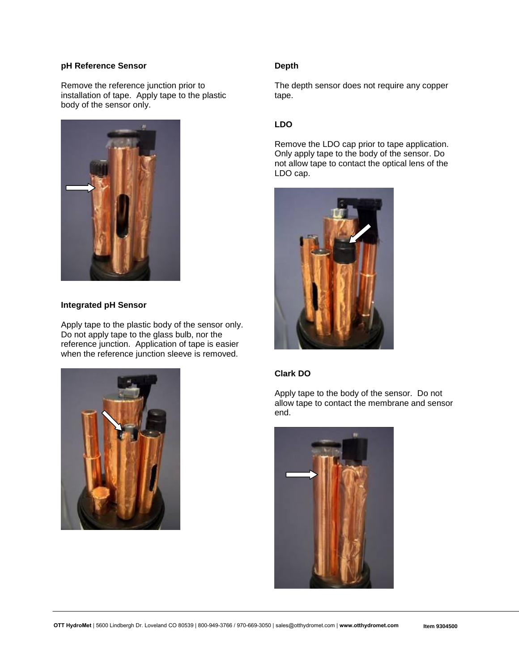# **pH Reference Sensor**

Remove the reference junction prior to installation of tape. Apply tape to the plastic body of the sensor only.



#### **Integrated pH Sensor**

Apply tape to the plastic body of the sensor only. Do not apply tape to the glass bulb, nor the reference junction. Application of tape is easier when the reference junction sleeve is removed.



# **Depth**

The depth sensor does not require any copper tape.

# **LDO**

Remove the LDO cap prior to tape application. Only apply tape to the body of the sensor. Do not allow tape to contact the optical lens of the LDO cap.



# **Clark DO**

Apply tape to the body of the sensor. Do not allow tape to contact the membrane and sensor end.

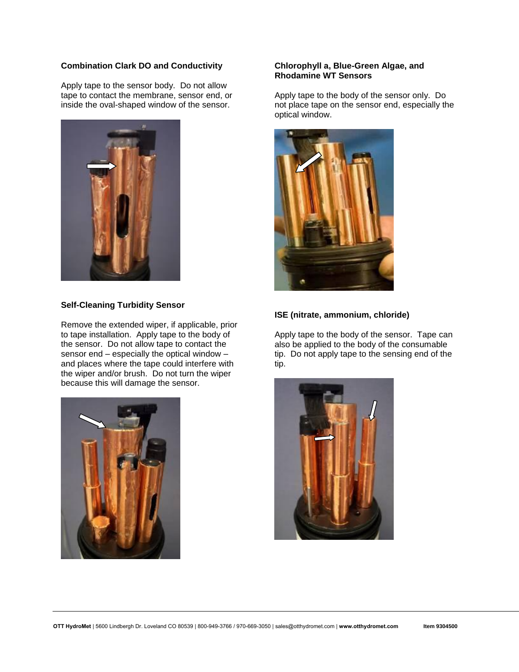# **Combination Clark DO and Conductivity**

Apply tape to the sensor body. Do not allow tape to contact the membrane, sensor end, or inside the oval-shaped window of the sensor.



#### **Self-Cleaning Turbidity Sensor**

Remove the extended wiper, if applicable, prior to tape installation. Apply tape to the body of the sensor. Do not allow tape to contact the sensor end – especially the optical window – and places where the tape could interfere with the wiper and/or brush. Do not turn the wiper because this will damage the sensor.



#### **Chlorophyll a, Blue-Green Algae, and Rhodamine WT Sensors**

Apply tape to the body of the sensor only. Do not place tape on the sensor end, especially the optical window.



# **ISE (nitrate, ammonium, chloride)**

Apply tape to the body of the sensor. Tape can also be applied to the body of the consumable tip. Do not apply tape to the sensing end of the tip.

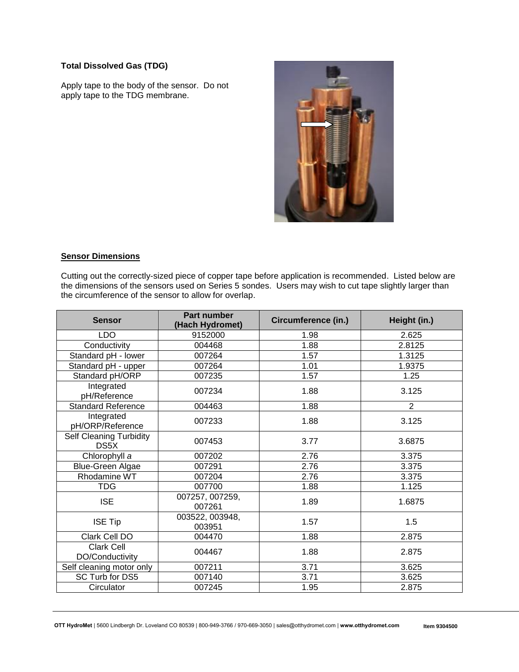# **Total Dissolved Gas (TDG)**

Apply tape to the body of the sensor. Do not apply tape to the TDG membrane.



# **Sensor Dimensions**

Cutting out the correctly-sized piece of copper tape before application is recommended. Listed below are the dimensions of the sensors used on Series 5 sondes. Users may wish to cut tape slightly larger than the circumference of the sensor to allow for overlap.

| <b>Sensor</b>                   | <b>Part number</b><br>(Hach Hydromet) | <b>Circumference (in.)</b> | Height (in.)   |
|---------------------------------|---------------------------------------|----------------------------|----------------|
| <b>LDO</b>                      | 9152000                               | 1.98                       | 2.625          |
| Conductivity                    | 004468                                | 1.88                       | 2.8125         |
| Standard pH - lower             | 007264                                | 1.57                       | 1.3125         |
| Standard pH - upper             | 007264                                | 1.01                       | 1.9375         |
| Standard pH/ORP                 | 007235                                | 1.57                       | 1.25           |
| Integrated<br>pH/Reference      | 007234                                | 1.88                       | 3.125          |
| <b>Standard Reference</b>       | 004463                                | 1.88                       | $\overline{2}$ |
| Integrated<br>pH/ORP/Reference  | 007233                                | 1.88                       | 3.125          |
| Self Cleaning Turbidity<br>DS5X | 007453                                | 3.77                       | 3.6875         |
| Chlorophyll a                   | 007202                                | 2.76                       | 3.375          |
| <b>Blue-Green Algae</b>         | 007291                                | 2.76                       | 3.375          |
| Rhodamine WT                    | 007204                                | 2.76                       | 3.375          |
| <b>TDG</b>                      | 007700                                | 1.88                       | 1.125          |
| <b>ISE</b>                      | 007257, 007259,<br>007261             | 1.89                       | 1.6875         |
| <b>ISE Tip</b>                  | 003522, 003948,<br>003951             | 1.57                       | 1.5            |
| Clark Cell DO                   | 004470                                | 1.88                       | 2.875          |
| Clark Cell<br>DO/Conductivity   | 004467                                | 1.88                       | 2.875          |
| Self cleaning motor only        | 007211                                | 3.71                       | 3.625          |
| SC Turb for DS5                 | 007140                                | 3.71                       | 3.625          |
| Circulator                      | 007245                                | 1.95                       | 2.875          |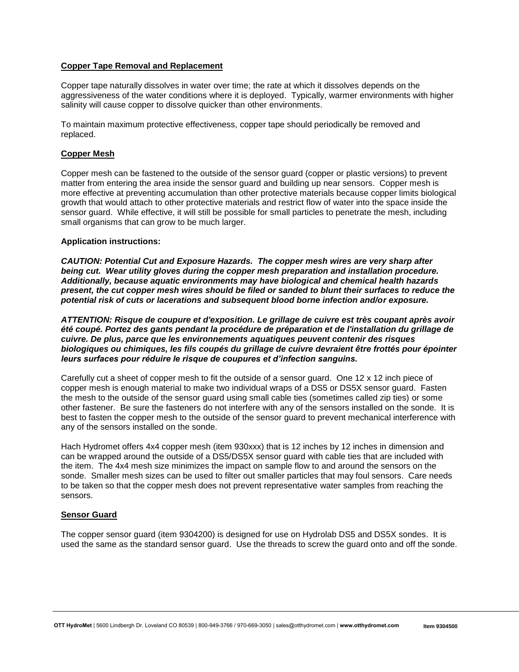# **Copper Tape Removal and Replacement**

Copper tape naturally dissolves in water over time; the rate at which it dissolves depends on the aggressiveness of the water conditions where it is deployed. Typically, warmer environments with higher salinity will cause copper to dissolve quicker than other environments.

To maintain maximum protective effectiveness, copper tape should periodically be removed and replaced.

### **Copper Mesh**

Copper mesh can be fastened to the outside of the sensor guard (copper or plastic versions) to prevent matter from entering the area inside the sensor guard and building up near sensors. Copper mesh is more effective at preventing accumulation than other protective materials because copper limits biological growth that would attach to other protective materials and restrict flow of water into the space inside the sensor guard. While effective, it will still be possible for small particles to penetrate the mesh, including small organisms that can grow to be much larger.

#### **Application instructions:**

*CAUTION: Potential Cut and Exposure Hazards. The copper mesh wires are very sharp after being cut. Wear utility gloves during the copper mesh preparation and installation procedure. Additionally, because aquatic environments may have biological and chemical health hazards present, the cut copper mesh wires should be filed or sanded to blunt their surfaces to reduce the potential risk of cuts or lacerations and subsequent blood borne infection and/or exposure.*

*ATTENTION: Risque de coupure et d'exposition. Le grillage de cuivre est très coupant après avoir été coupé. Portez des gants pendant la procédure de préparation et de l'installation du grillage de cuivre. De plus, parce que les environnements aquatiques peuvent contenir des risques biologiques ou chimiques, les fils coupés du grillage de cuivre devraient être frottés pour épointer leurs surfaces pour réduire le risque de coupures et d'infection sanguins.*

Carefully cut a sheet of copper mesh to fit the outside of a sensor guard. One 12 x 12 inch piece of copper mesh is enough material to make two individual wraps of a DS5 or DS5X sensor guard. Fasten the mesh to the outside of the sensor guard using small cable ties (sometimes called zip ties) or some other fastener. Be sure the fasteners do not interfere with any of the sensors installed on the sonde. It is best to fasten the copper mesh to the outside of the sensor guard to prevent mechanical interference with any of the sensors installed on the sonde.

Hach Hydromet offers 4x4 copper mesh (item 930xxx) that is 12 inches by 12 inches in dimension and can be wrapped around the outside of a DS5/DS5X sensor guard with cable ties that are included with the item. The 4x4 mesh size minimizes the impact on sample flow to and around the sensors on the sonde. Smaller mesh sizes can be used to filter out smaller particles that may foul sensors. Care needs to be taken so that the copper mesh does not prevent representative water samples from reaching the sensors.

#### **Sensor Guard**

The copper sensor guard (item 9304200) is designed for use on Hydrolab DS5 and DS5X sondes. It is used the same as the standard sensor guard. Use the threads to screw the guard onto and off the sonde.